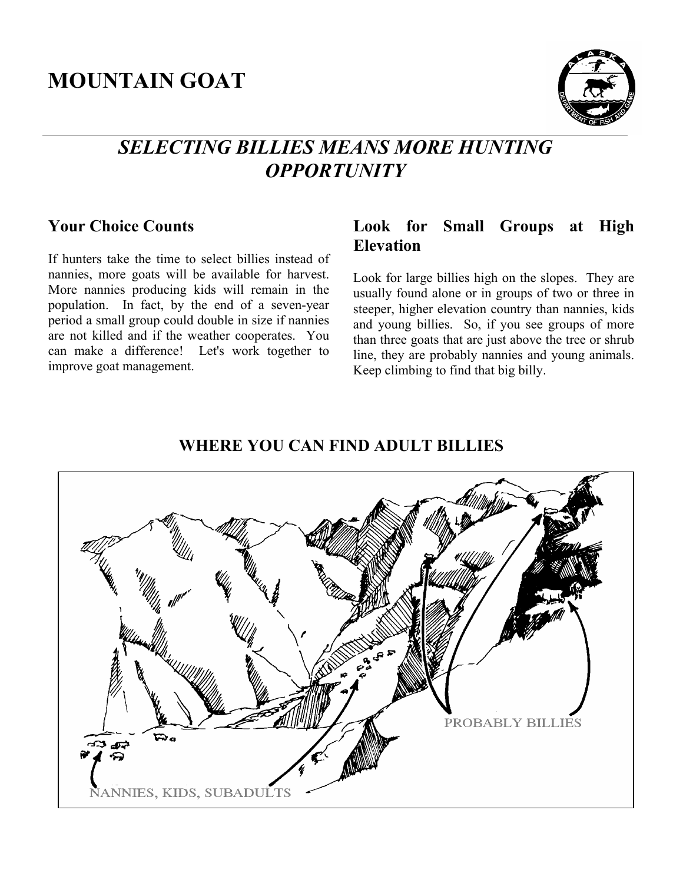# **MOUNTAIN GOAT**



## *SELECTING BILLIES MEANS MORE HUNTING OPPORTUNITY*

## **Your Choice Counts**

If hunters take the time to select billies instead of nannies, more goats will be available for harvest. More nannies producing kids will remain in the population. In fact, by the end of a seven-year period a small group could double in size if nannies are not killed and if the weather cooperates. You can make a difference! Let's work together to improve goat management.

## **Look for Small Groups at High Elevation**

Look for large billies high on the slopes. They are usually found alone or in groups of two or three in steeper, higher elevation country than nannies, kids and young billies. So, if you see groups of more than three goats that are just above the tree or shrub line, they are probably nannies and young animals. Keep climbing to find that big billy.

#### **WHERE YOU CAN FIND ADULT BILLIES**

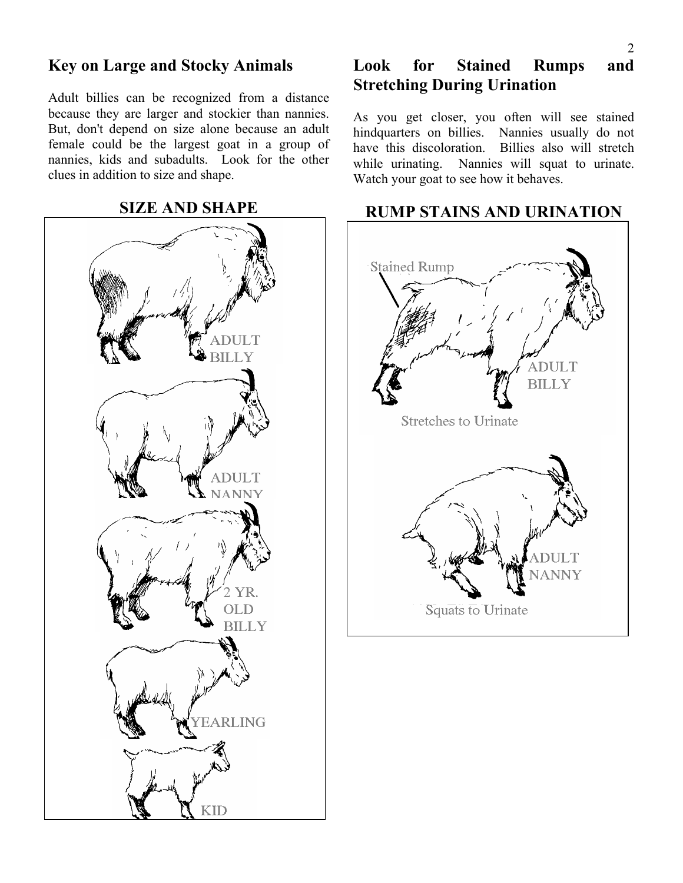## **Key on Large and Stocky Animals**

Adult billies can be recognized from a distance because they are larger and stockier than nannies. But, don't depend on size alone because an adult female could be the largest goat in a group of nannies, kids and subadults. Look for the other clues in addition to size and shape.

**SIZE AND SHAPE** 



## **Look for Stained Rumps and Stretching During Urination**

As you get closer, you often will see stained hindquarters on billies. Nannies usually do not have this discoloration. Billies also will stretch while urinating. Nannies will squat to urinate. Watch your goat to see how it behaves.



#### **RUMP STAINS AND URINATION**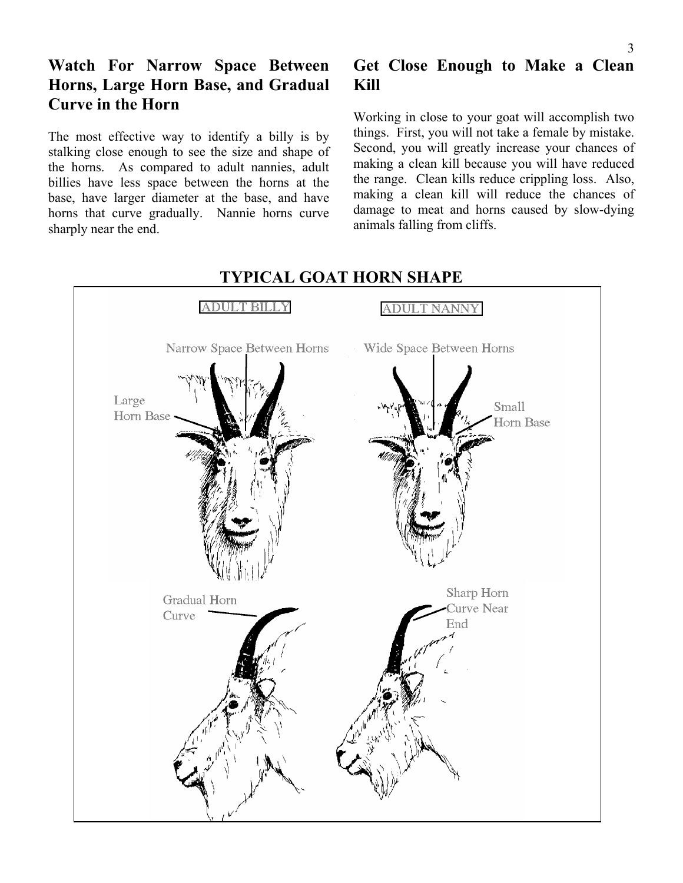## **Watch For Narrow Space Between Horns, Large Horn Base, and Gradual Curve in the Horn**

The most effective way to identify a billy is by stalking close enough to see the size and shape of the horns. As compared to adult nannies, adult billies have less space between the horns at the base, have larger diameter at the base, and have horns that curve gradually. Nannie horns curve sharply near the end.

## **Get Close Enough to Make a Clean Kill**

Working in close to your goat will accomplish two things. First, you will not take a female by mistake. Second, you will greatly increase your chances of making a clean kill because you will have reduced the range. Clean kills reduce crippling loss. Also, making a clean kill will reduce the chances of damage to meat and horns caused by slow-dying animals falling from cliffs.



#### **TYPICAL GOAT HORN SHAPE**